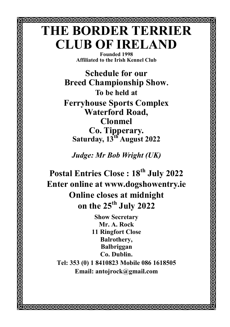**Founded 1998 Affiliated to the Irish Kennel Club**

**Schedule for our Breed Championship Show. To be held at Ferryhouse Sports Complex Waterford Road, Clonmel Co. Tipperary. Saturday, 13th August 2022**

*Judge: Mr Bob Wright (UK)*

**Postal Entries Close : 18th July 2022 Enter online at www.dogshowentry.ie Online closes at midnight on the 25th July 2022**

**Show Secretary Mr. A. Rock 11 Ringfort Close Balrothery, Balbriggan Co. Dublin. Tel: 353 (0) 1 8410823 Mobile 086 1618505 Email: antojrock@gmail.com**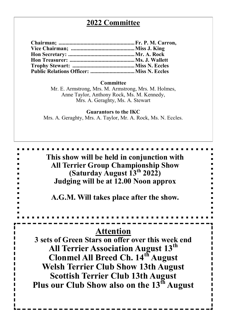### **2022 Committee**

#### **Committee**

Mr. E. Armstrong, Mrs. M. Armstrong, Mrs. M. Holmes, Anne Taylor, Anthony Rock, Ms. M. Kennedy, Mrs. A. Geraghty, Ms. A. Stewart

**Guarantors to the IKC**

Mrs. A. Geraghty, Mrs. A. Taylor, Mr. A. Rock, Ms. N. Eccles.

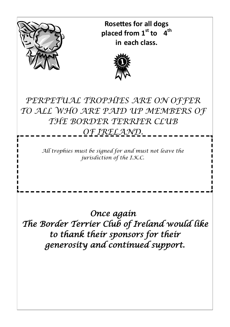

**Rosettes for all dogs placed from 1st to 4 th in each class.**



*PERPETUAL TROPHIES ARE ON OFFER TO ALL WHO ARE PAID UP MEMBERS OF THE BORDER TERRIER CLUB* 

*OF IRELAND.*

*All trophies must be signed for and must not leave the jurisdiction of the I.K.C.*

*Once again The Border Terrier Club of Ireland would like to thank their sponsors for their generosity and continued support.*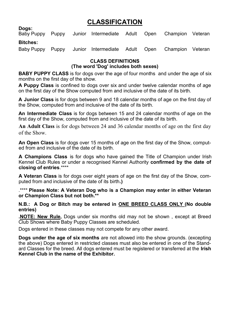### **CLASSIFICATION**

**Dogs:**  Puppy Junior Intermediate Adult Open Champion Veteran **Bitches:** 

#### Baby Puppy Puppy Junior Intermediate Adult Open Champion Veteran

#### **CLASS DEFINITIONS (The word 'Dog' includes both sexes)**

**BABY PUPPY CLASS** is for dogs over the age of four months and under the age of six months on the first day of the show.

**A Puppy Class** is confined to dogs over six and under twelve calendar months of age on the first day of the Show computed from and inclusive of the date of its birth.

**A Junior Class** is for dogs between 9 and 18 calendar months of age on the first day of the Show, computed from and inclusive of the date of its birth.

**An Intermediate Class** is for dogs between 15 and 24 calendar months of age on the first day of the Show, computed from and inclusive of the date of its birth.

**An Adult Class** is for dogs between 24 and 36 calendar months of age on the first day of the Show.

**An Open Class** is for dogs over 15 months of age on the first day of the Show, computed from and inclusive of the date of its birth.

**A Champions Class** is for dogs who have gained the Title of Champion under Irish Kennel Club Rules or under a recognised Kennel Authority **confirmed by the date of closing of entries**.\*\*\*\*

**A Veteran Class** is for dogs over eight years of age on the first day of the Show, computed from and inclusive of the date of its birth**.)**

.\*\*\*\* **Please Note: A Veteran Dog who is a Champion may enter in either Veteran or Champion Class but not both.\*\***

**N.B.: A Dog or Bitch may be entered in ONE BREED CLASS ONLY (No double entries)**

**.NOTE: New Rule,** Dogs under six months old may not be shown , except at Breed Club Shows where Baby Puppy Classes are scheduled.

Dogs entered in these classes may not compete for any other award.

**Dogs under the age of six months** are not allowed into the show grounds. (excepting the above) Dogs entered in restricted classes must also be entered in one of the Standard Classes for the breed. All dogs entered must be registered or transferred at the **Irish Kennel Club in the name of the Exhibitor.**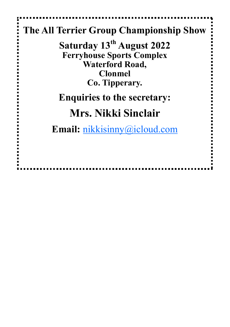| The All Terrier Group Championship Show<br>Saturday 13 <sup>th</sup> August 2022<br><b>Ferryhouse Sports Complex</b> |  |
|----------------------------------------------------------------------------------------------------------------------|--|
| <b>Waterford Road,</b><br><b>Clonmel</b><br>Co. Tipperary.                                                           |  |
| <b>Enquiries to the secretary:</b><br><b>Mrs. Nikki Sinclair</b><br><b>Email:</b> nikkisinny@icloud.com              |  |
|                                                                                                                      |  |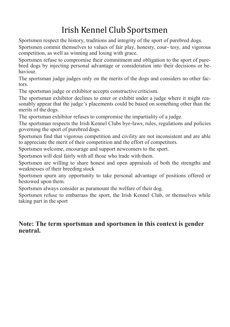# Irish Kennel Club Sportsmen

Sportsmen respect the history, traditions and integrity of the sport of purebred dogs.

Sportsmen commit themselves to values of fair play, honesty, cour- tesy, and vigorous competition, as well as winning and losing with grace.

Sportsmen refuse to compromise their commitment and obligation to the sport of purebred dogs by injecting personal advantage or consideration into their decisions or behaviour.

The sportsman judge judges only on the merits of the dogs and considers no other factors.

The sportsman judge or exhibitor accepts constructive criticism.

The sportsman exhibitor declines to enter or exhibit under a judge where it might reasonably appear that the judge's placements could be based on something other than the merits of the dogs.

The sportsman exhibitor refuses to compromise the impartiality of a judge.

The sportsman respects the Irish Kennel Clubs bye-laws, rules, regulations and policies governing the sport of purebred dogs.

Sportsmen find that vigorous competition and civility are not inconsistent and are able to appreciate the merit of their competition and the effort of competitors.

Sportsmen welcome, encourage and support newcomers to the sport.

Sportsmen will deal fairly with all those who trade with them.

Sportsmen are willing to share honest and open appraisals of both the strengths and weaknesses of their breeding stock

Sportsmen spurn any opportunity to take personal advantage of positions offered or bestowed upon them.

Sportsmen always consider as paramount the welfare of their dog.

Sportsmen refuse to embarrass the sport, the Irish Kennel Club, or themselves while taking part in the sport

#### **Note: The term sportsman and sportsmen in this context is gender neutral.**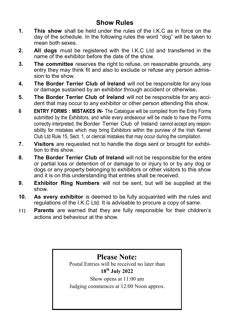### **Show Rules**

- **1. This show** shall be held under the rules of the I.K.C as in force on the day of the schedule. In the following rules the word "dog" will be taken to mean both sexes.
- **2. All dogs** must be registered with the I.K.C Ltd and transferred in the name of the exhibitor before the date of the show.
- **3. The committee** reserves the right to refuse, on reasonable grounds, any entry they may think fit and also to exclude or refuse any person admission to the show.
- **4. The Border Terrier Club of Ireland** will not be responsible for any loss or damage sustained by an exhibitor through accident or otherwise**.**
- **5. The Border Terrier Club of Ireland** will not be responsible for any accident that may occur to any exhibitor or other person attending this show.
- **6 ENTRY FORMS : MISTAKES IN-** The Catalogue will be compiled from the Entry Forms submitted by the Exhibitors, and while every endeavour will be made to have the Forms correctly interpreted, the Border Terrier Club of Ireland cannot accept any responsibility for mistakes which may bring Exhibitors within the purview of the Irish Kennel Club Ltd Rule 15, Sect. 1, or clerical mistakes that may occur during the compilation.
- **7. Visitors** are requested not to handle the dogs sent or brought for exhibition to this show.
- **8. The Border Terrier Club of Ireland** will not be responsible for the entire or partial loss or detention of or damage to or injury to or by any dog or dogs or any property belonging to exhibitors or other visitors to this show and it is on this understanding that entries shall be received.
- **9. Exhibitor Ring Numbers** will not be sent, but will be supplied at the show.
- **10. As every exhibitor** is deemed to be fully acquainted with the rules and regulations of the I.K.C Ltd. It is advisable to procure a copy of same.
- 11) **Parents** are warned that they are fully responsible for their children's actions and behaviour at the show.

#### **Please Note:**

Postal Entries will be received no later than

#### **18th July 2022**

Show opens at 11:00 am Judging commences at 12:00 Noon approx.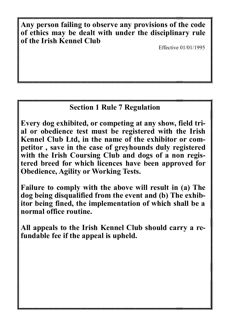**Any person failing to observe any provisions of the code of ethics may be dealt with under the disciplinary rule of the Irish Kennel Club**

Effective 01/01/1995

## **Section 1 Rule 7 Regulation**

**Every dog exhibited, or competing at any show, field trial or obedience test must be registered with the Irish Kennel Club Ltd, in the name of the exhibitor or competitor , save in the case of greyhounds duly registered with the Irish Coursing Club and dogs of a non registered breed for which licences have been approved for Obedience, Agility or Working Tests.**

**Failure to comply with the above will result in (a) The dog being disqualified from the event and (b) The exhibitor being fined, the implementation of which shall be a normal office routine.**

**All appeals to the Irish Kennel Club should carry a refundable fee if the appeal is upheld.**